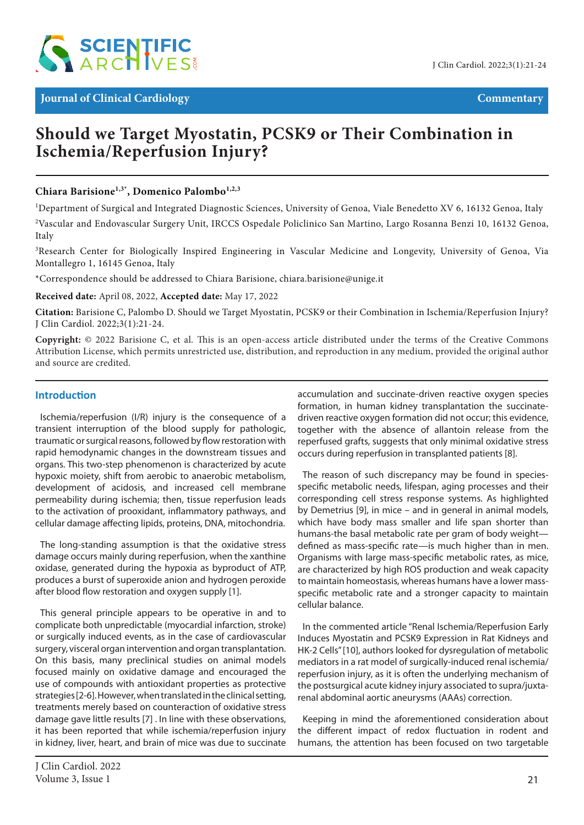

## **Should we Target Myostatin, PCSK9 or Their Combination in Ischemia/Reperfusion Injury?**

Chiara Barisione<sup>1,3\*</sup>, Domenico Palombo<sup>1,2,3</sup>

<sup>1</sup>Department of Surgical and Integrated Diagnostic Sciences, University of Genoa, Viale Benedetto XV 6, 16132 Genoa, Italy

2 Vascular and Endovascular Surgery Unit, IRCCS Ospedale Policlinico San Martino, Largo Rosanna Benzi 10, 16132 Genoa, Italy

<sup>3</sup>Research Center for Biologically Inspired Engineering in Vascular Medicine and Longevity, University of Genoa, Via Montallegro 1, 16145 Genoa, Italy

\*Correspondence should be addressed to Chiara Barisione, chiara.barisione@unige.it

**Received date:** April 08, 2022, **Accepted date:** May 17, 2022

**Citation:** Barisione C, Palombo D. Should we Target Myostatin, PCSK9 or their Combination in Ischemia/Reperfusion Injury? J Clin Cardiol. 2022;3(1):21-24.

**Copyright:** © 2022 Barisione C, et al. This is an open-access article distributed under the terms of the Creative Commons Attribution License, which permits unrestricted use, distribution, and reproduction in any medium, provided the original author and source are credited.

## **Introduction**

Ischemia/reperfusion (I/R) injury is the consequence of a transient interruption of the blood supply for pathologic, traumatic or surgical reasons, followed by flow restoration with rapid hemodynamic changes in the downstream tissues and organs. This two-step phenomenon is characterized by acute hypoxic moiety, shift from aerobic to anaerobic metabolism, development of acidosis, and increased cell membrane permeability during ischemia; then, tissue reperfusion leads to the activation of prooxidant, inflammatory pathways, and cellular damage affecting lipids, proteins, DNA, mitochondria.

The long-standing assumption is that the oxidative stress damage occurs mainly during reperfusion, when the xanthine oxidase, generated during the hypoxia as byproduct of ATP, produces a burst of superoxide anion and hydrogen peroxide after blood flow restoration and oxygen supply [1].

This general principle appears to be operative in and to complicate both unpredictable (myocardial infarction, stroke) or surgically induced events, as in the case of cardiovascular surgery, visceral organ intervention and organ transplantation. On this basis, many preclinical studies on animal models focused mainly on oxidative damage and encouraged the use of compounds with antioxidant properties as protective strategies [2-6]. However, when translated in the clinical setting, treatments merely based on counteraction of oxidative stress damage gave little results [7] . In line with these observations, it has been reported that while ischemia/reperfusion injury in kidney, liver, heart, and brain of mice was due to succinate

accumulation and succinate-driven reactive oxygen species formation, in human kidney transplantation the succinatedriven reactive oxygen formation did not occur; this evidence, together with the absence of allantoin release from the reperfused grafts, suggests that only minimal oxidative stress occurs during reperfusion in transplanted patients [8].

The reason of such discrepancy may be found in speciesspecific metabolic needs, lifespan, aging processes and their corresponding cell stress response systems. As highlighted by Demetrius [9], in mice – and in general in animal models, which have body mass smaller and life span shorter than humans-the basal metabolic rate per gram of body weight defined as mass-specific rate—is much higher than in men. Organisms with large mass-specific metabolic rates, as mice, are characterized by high ROS production and weak capacity to maintain homeostasis, whereas humans have a lower massspecific metabolic rate and a stronger capacity to maintain cellular balance.

In the commented article "Renal Ischemia/Reperfusion Early Induces Myostatin and PCSK9 Expression in Rat Kidneys and HK-2 Cells" [10], authors looked for dysregulation of metabolic mediators in a rat model of surgically-induced renal ischemia/ reperfusion injury, as it is often the underlying mechanism of the postsurgical acute kidney injury associated to supra/juxtarenal abdominal aortic aneurysms (AAAs) correction.

Keeping in mind the aforementioned consideration about the different impact of redox fluctuation in rodent and humans, the attention has been focused on two targetable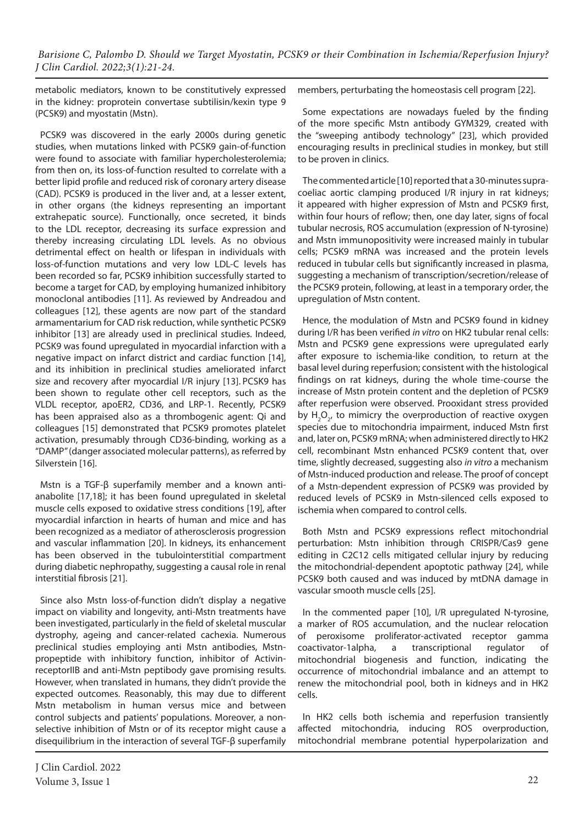*Barisione C, Palombo D. Should we Target Myostatin, PCSK9 or their Combination in Ischemia/Reperfusion Injury? J Clin Cardiol. 2022;3(1):21-24.*

metabolic mediators, known to be constitutively expressed in the kidney: proprotein convertase subtilisin/kexin type 9 (PCSK9) and myostatin (Mstn).

PCSK9 was discovered in the early 2000s during genetic studies, when mutations linked with PCSK9 gain-of-function were found to associate with familiar hypercholesterolemia; from then on, its loss-of-function resulted to correlate with a better lipid profile and reduced risk of coronary artery disease (CAD). PCSK9 is produced in the liver and, at a lesser extent, in other organs (the kidneys representing an important extrahepatic source). Functionally, once secreted, it binds to the LDL receptor, decreasing its surface expression and thereby increasing circulating LDL levels. As no obvious detrimental effect on health or lifespan in individuals with loss-of-function mutations and very low LDL-C levels has been recorded so far, PCSK9 inhibition successfully started to become a target for CAD, by employing humanized inhibitory monoclonal antibodies [11]. As reviewed by Andreadou and colleagues [12], these agents are now part of the standard armamentarium for CAD risk reduction, while synthetic PCSK9 inhibitor [13] are already used in preclinical studies. Indeed, PCSK9 was found upregulated in myocardial infarction with a negative impact on infarct district and cardiac function [14], and its inhibition in preclinical studies ameliorated infarct size and recovery after myocardial I/R injury [13]. PCSK9 has been shown to regulate other cell receptors, such as the VLDL receptor, apoER2, CD36, and LRP-1. Recently, PCSK9 has been appraised also as a thrombogenic agent: Qi and colleagues [15] demonstrated that PCSK9 promotes platelet activation, presumably through CD36-binding, working as a "DAMP" (danger associated molecular patterns), as referred by Silverstein [16].

Mstn is a TGF-β superfamily member and a known antianabolite [17,18]; it has been found upregulated in skeletal muscle cells exposed to oxidative stress conditions [19], after myocardial infarction in hearts of human and mice and has been recognized as a mediator of atherosclerosis progression and vascular inflammation [20]. In kidneys, its enhancement has been observed in the tubulointerstitial compartment during diabetic nephropathy, suggesting a causal role in renal interstitial fibrosis [21].

Since also Mstn loss-of-function didn't display a negative impact on viability and longevity, anti-Mstn treatments have been investigated, particularly in the field of skeletal muscular dystrophy, ageing and cancer-related cachexia. Numerous preclinical studies employing anti Mstn antibodies, Mstnpropeptide with inhibitory function, inhibitor of ActivinreceptorIIB and anti-Mstn peptibody gave promising results. However, when translated in humans, they didn't provide the expected outcomes. Reasonably, this may due to different Mstn metabolism in human versus mice and between control subjects and patients' populations. Moreover, a nonselective inhibition of Mstn or of its receptor might cause a disequilibrium in the interaction of several TGF-β superfamily members, perturbating the homeostasis cell program [22].

Some expectations are nowadays fueled by the finding of the more specific Mstn antibody GYM329, created with the "sweeping antibody technology" [23], which provided encouraging results in preclinical studies in monkey, but still to be proven in clinics.

The commented article [10] reported that a 30-minutes supracoeliac aortic clamping produced I/R injury in rat kidneys; it appeared with higher expression of Mstn and PCSK9 first, within four hours of reflow; then, one day later, signs of focal tubular necrosis, ROS accumulation (expression of N-tyrosine) and Mstn immunopositivity were increased mainly in tubular cells; PCSK9 mRNA was increased and the protein levels reduced in tubular cells but significantly increased in plasma, suggesting a mechanism of transcription/secretion/release of the PCSK9 protein, following, at least in a temporary order, the upregulation of Mstn content.

Hence, the modulation of Mstn and PCSK9 found in kidney during I/R has been verified *in vitro* on HK2 tubular renal cells: Mstn and PCSK9 gene expressions were upregulated early after exposure to ischemia-like condition, to return at the basal level during reperfusion; consistent with the histological findings on rat kidneys, during the whole time-course the increase of Mstn protein content and the depletion of PCSK9 after reperfusion were observed. Prooxidant stress provided by  $H_2O_{2'}$  to mimicry the overproduction of reactive oxygen species due to mitochondria impairment, induced Mstn first and, later on, PCSK9 mRNA; when administered directly to HK2 cell, recombinant Mstn enhanced PCSK9 content that, over time, slightly decreased, suggesting also *in vitro* a mechanism of Mstn-induced production and release. The proof of concept of a Mstn-dependent expression of PCSK9 was provided by reduced levels of PCSK9 in Mstn-silenced cells exposed to ischemia when compared to control cells.

Both Mstn and PCSK9 expressions reflect mitochondrial perturbation: Mstn inhibition through CRISPR/Cas9 gene editing in C2C12 cells mitigated cellular injury by reducing the mitochondrial-dependent apoptotic pathway [24], while PCSK9 both caused and was induced by mtDNA damage in vascular smooth muscle cells [25].

In the commented paper [10], I/R upregulated N-tyrosine, a marker of ROS accumulation, and the nuclear relocation of peroxisome proliferator-activated receptor gamma coactivator-1alpha, a transcriptional regulator of mitochondrial biogenesis and function, indicating the occurrence of mitochondrial imbalance and an attempt to renew the mitochondrial pool, both in kidneys and in HK2 cells.

In HK2 cells both ischemia and reperfusion transiently affected mitochondria, inducing ROS overproduction, mitochondrial membrane potential hyperpolarization and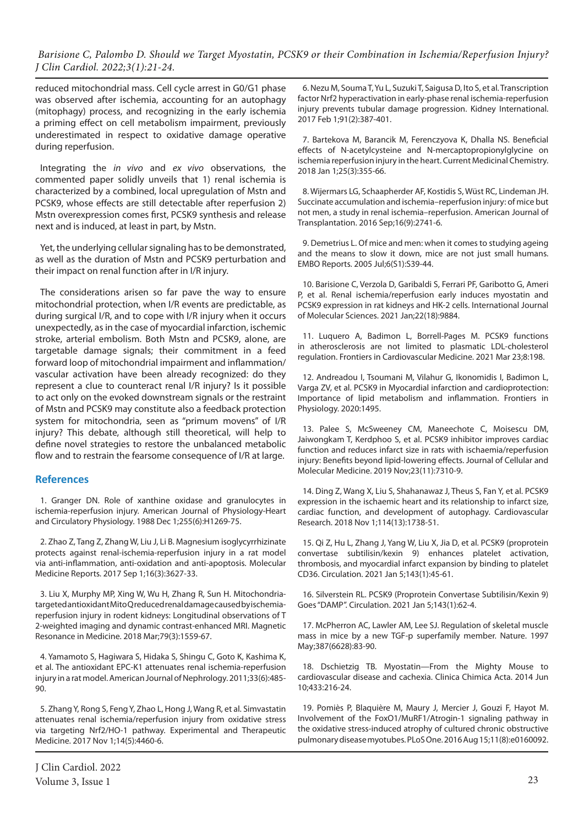*Barisione C, Palombo D. Should we Target Myostatin, PCSK9 or their Combination in Ischemia/Reperfusion Injury? J Clin Cardiol. 2022;3(1):21-24.*

reduced mitochondrial mass. Cell cycle arrest in G0/G1 phase was observed after ischemia, accounting for an autophagy (mitophagy) process, and recognizing in the early ischemia a priming effect on cell metabolism impairment, previously underestimated in respect to oxidative damage operative during reperfusion.

Integrating the *in vivo* and *ex vivo* observations, the commented paper solidly unveils that 1) renal ischemia is characterized by a combined, local upregulation of Mstn and PCSK9, whose effects are still detectable after reperfusion 2) Mstn overexpression comes first, PCSK9 synthesis and release next and is induced, at least in part, by Mstn.

Yet, the underlying cellular signaling has to be demonstrated, as well as the duration of Mstn and PCSK9 perturbation and their impact on renal function after in I/R injury.

The considerations arisen so far pave the way to ensure mitochondrial protection, when I/R events are predictable, as during surgical I/R, and to cope with I/R injury when it occurs unexpectedly, as in the case of myocardial infarction, ischemic stroke, arterial embolism. Both Mstn and PCSK9, alone, are targetable damage signals; their commitment in a feed forward loop of mitochondrial impairment and inflammation/ vascular activation have been already recognized: do they represent a clue to counteract renal I/R injury? Is it possible to act only on the evoked downstream signals or the restraint of Mstn and PCSK9 may constitute also a feedback protection system for mitochondria, seen as "primum movens" of I/R injury? This debate, although still theoretical, will help to define novel strategies to restore the unbalanced metabolic flow and to restrain the fearsome consequence of I/R at large.

## **References**

1. Granger DN. Role of xanthine oxidase and granulocytes in ischemia-reperfusion injury. American Journal of Physiology-Heart and Circulatory Physiology. 1988 Dec 1;255(6):H1269-75.

2. Zhao Z, Tang Z, Zhang W, Liu J, Li B. Magnesium isoglycyrrhizinate protects against renal-ischemia-reperfusion injury in a rat model via anti-inflammation, anti-oxidation and anti-apoptosis. Molecular Medicine Reports. 2017 Sep 1;16(3):3627-33.

3. Liu X, Murphy MP, Xing W, Wu H, Zhang R, Sun H. Mitochondria‐ targeted antioxidant Mito Q reduced renal damage caused by ischemia‐ reperfusion injury in rodent kidneys: Longitudinal observations of T 2‐weighted imaging and dynamic contrast‐enhanced MRI. Magnetic Resonance in Medicine. 2018 Mar;79(3):1559-67.

4. Yamamoto S, Hagiwara S, Hidaka S, Shingu C, Goto K, Kashima K, et al. The antioxidant EPC-K1 attenuates renal ischemia-reperfusion injury in a rat model. American Journal of Nephrology. 2011;33(6):485- 90.

5. Zhang Y, Rong S, Feng Y, Zhao L, Hong J, Wang R, et al. Simvastatin attenuates renal ischemia/reperfusion injury from oxidative stress via targeting Nrf2/HO-1 pathway. Experimental and Therapeutic Medicine. 2017 Nov 1;14(5):4460-6.

6. Nezu M, Souma T, Yu L, Suzuki T, Saigusa D, Ito S, et al. Transcription factor Nrf2 hyperactivation in early-phase renal ischemia-reperfusion injury prevents tubular damage progression. Kidney International. 2017 Feb 1;91(2):387-401.

7. Bartekova M, Barancik M, Ferenczyova K, Dhalla NS. Beneficial effects of N-acetylcysteine and N-mercaptopropionylglycine on ischemia reperfusion injury in the heart. Current Medicinal Chemistry. 2018 Jan 1;25(3):355-66.

8. Wijermars LG, Schaapherder AF, Kostidis S, Wüst RC, Lindeman JH. Succinate accumulation and ischemia–reperfusion injury: of mice but not men, a study in renal ischemia–reperfusion. American Journal of Transplantation. 2016 Sep;16(9):2741-6.

9. Demetrius L. Of mice and men: when it comes to studying ageing and the means to slow it down, mice are not just small humans. EMBO Reports. 2005 Jul;6(S1):S39-44.

10. Barisione C, Verzola D, Garibaldi S, Ferrari PF, Garibotto G, Ameri P, et al. Renal ischemia/reperfusion early induces myostatin and PCSK9 expression in rat kidneys and HK-2 cells. International Journal of Molecular Sciences. 2021 Jan;22(18):9884.

11. Luquero A, Badimon L, Borrell-Pages M. PCSK9 functions in atherosclerosis are not limited to plasmatic LDL-cholesterol regulation. Frontiers in Cardiovascular Medicine. 2021 Mar 23;8:198.

12. Andreadou I, Tsoumani M, Vilahur G, Ikonomidis I, Badimon L, Varga ZV, et al. PCSK9 in Myocardial infarction and cardioprotection: Importance of lipid metabolism and inflammation. Frontiers in Physiology. 2020:1495.

13. Palee S, McSweeney CM, Maneechote C, Moisescu DM, Jaiwongkam T, Kerdphoo S, et al. PCSK9 inhibitor improves cardiac function and reduces infarct size in rats with ischaemia/reperfusion injury: Benefits beyond lipid‐lowering effects. Journal of Cellular and Molecular Medicine. 2019 Nov;23(11):7310-9.

14. Ding Z, Wang X, Liu S, Shahanawaz J, Theus S, Fan Y, et al. PCSK9 expression in the ischaemic heart and its relationship to infarct size, cardiac function, and development of autophagy. Cardiovascular Research. 2018 Nov 1;114(13):1738-51.

15. Qi Z, Hu L, Zhang J, Yang W, Liu X, Jia D, et al. PCSK9 (proprotein convertase subtilisin/kexin 9) enhances platelet activation, thrombosis, and myocardial infarct expansion by binding to platelet CD36. Circulation. 2021 Jan 5;143(1):45-61.

16. Silverstein RL. PCSK9 (Proprotein Convertase Subtilisin/Kexin 9) Goes "DAMP". Circulation. 2021 Jan 5;143(1):62-4.

17. McPherron AC, Lawler AM, Lee SJ. Regulation of skeletal muscle mass in mice by a new TGF-p superfamily member. Nature. 1997 May;387(6628):83-90.

18. Dschietzig TB. Myostatin—From the Mighty Mouse to cardiovascular disease and cachexia. Clinica Chimica Acta. 2014 Jun 10;433:216-24.

19. Pomiès P, Blaquière M, Maury J, Mercier J, Gouzi F, Hayot M. Involvement of the FoxO1/MuRF1/Atrogin-1 signaling pathway in the oxidative stress-induced atrophy of cultured chronic obstructive pulmonary disease myotubes. PLoS One. 2016 Aug 15;11(8):e0160092.